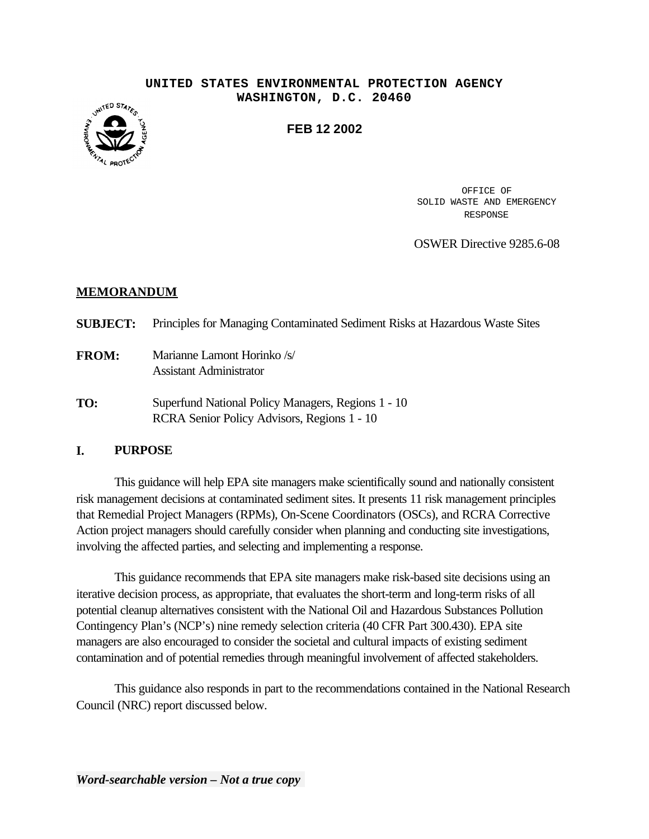#### **UNITED STATES ENVIRONMENTAL PROTECTION AGENCY WASHINGTON, D.C. 20460**



**FEB 12 2002** 

OFFICE OF SOLID WASTE AND EMERGENCY RESPONSE

OSWER Directive 9285.6-08

## **MEMORANDUM**

| <b>SUBJECT:</b> | Principles for Managing Contaminated Sediment Risks at Hazardous Waste Sites                      |
|-----------------|---------------------------------------------------------------------------------------------------|
| <b>FROM:</b>    | Marianne Lamont Horinko /s/<br><b>Assistant Administrator</b>                                     |
| TO:             | Superfund National Policy Managers, Regions 1 - 10<br>RCRA Senior Policy Advisors, Regions 1 - 10 |

## **I. PURPOSE**

This guidance will help EPA site managers make scientifically sound and nationally consistent risk management decisions at contaminated sediment sites. It presents 11 risk management principles that Remedial Project Managers (RPMs), On-Scene Coordinators (OSCs), and RCRA Corrective Action project managers should carefully consider when planning and conducting site investigations, involving the affected parties, and selecting and implementing a response.

This guidance recommends that EPA site managers make risk-based site decisions using an iterative decision process, as appropriate, that evaluates the short-term and long-term risks of all potential cleanup alternatives consistent with the National Oil and Hazardous Substances Pollution Contingency Plan's (NCP's) nine remedy selection criteria (40 CFR Part 300.430). EPA site managers are also encouraged to consider the societal and cultural impacts of existing sediment contamination and of potential remedies through meaningful involvement of affected stakeholders.

This guidance also responds in part to the recommendations contained in the National Research Council (NRC) report discussed below.

*Word-searchable version – Not a true copy*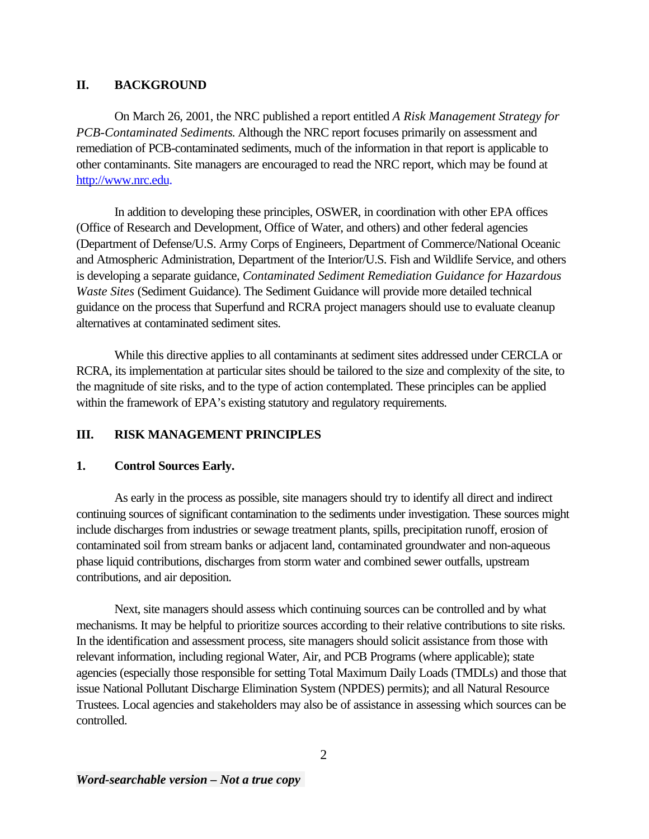# **II. BACKGROUND**

On March 26, 2001, the NRC published a report entitled *A Risk Management Strategy for PCB-Contaminated Sediments*. Although the NRC report focuses primarily on assessment and remediation of PCB-contaminated sediments, much of the information in that report is applicable to other contaminants. Site managers are encouraged to read the NRC report, which may be found at [http://www.nrc.edu.](http://www.nrc.edu)

In addition to developing these principles, OSWER, in coordination with other EPA offices (Office of Research and Development, Office of Water, and others) and other federal agencies (Department of Defense/U.S. Army Corps of Engineers, Department of Commerce/National Oceanic and Atmospheric Administration, Department of the Interior/U.S. Fish and Wildlife Service, and others is developing a separate guidance, *Contaminated Sediment Remediation Guidance for Hazardous Waste Sites* (Sediment Guidance). The Sediment Guidance will provide more detailed technical guidance on the process that Superfund and RCRA project managers should use to evaluate cleanup alternatives at contaminated sediment sites.

While this directive applies to all contaminants at sediment sites addressed under CERCLA or RCRA, its implementation at particular sites should be tailored to the size and complexity of the site, to the magnitude of site risks, and to the type of action contemplated. These principles can be applied within the framework of EPA's existing statutory and regulatory requirements.

# **III. RISK MANAGEMENT PRINCIPLES**

## **1. Control Sources Early.**

As early in the process as possible, site managers should try to identify all direct and indirect continuing sources of significant contamination to the sediments under investigation. These sources might include discharges from industries or sewage treatment plants, spills, precipitation runoff, erosion of contaminated soil from stream banks or adjacent land, contaminated groundwater and non-aqueous phase liquid contributions, discharges from storm water and combined sewer outfalls, upstream contributions, and air deposition.

Next, site managers should assess which continuing sources can be controlled and by what mechanisms. It may be helpful to prioritize sources according to their relative contributions to site risks. In the identification and assessment process, site managers should solicit assistance from those with relevant information, including regional Water, Air, and PCB Programs (where applicable); state agencies (especially those responsible for setting Total Maximum Daily Loads (TMDLs) and those that issue National Pollutant Discharge Elimination System (NPDES) permits); and all Natural Resource Trustees. Local agencies and stakeholders may also be of assistance in assessing which sources can be controlled.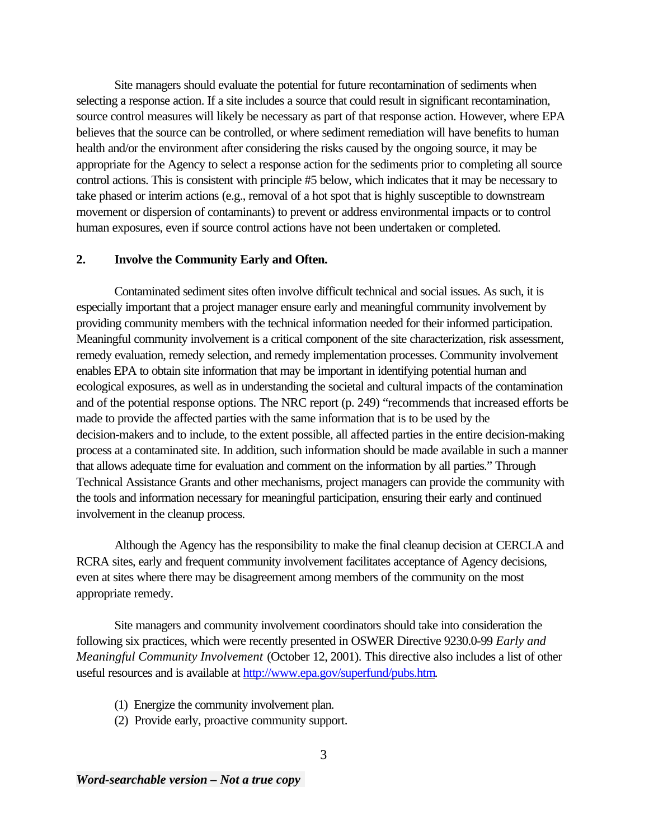Site managers should evaluate the potential for future recontamination of sediments when selecting a response action. If a site includes a source that could result in significant recontamination, source control measures will likely be necessary as part of that response action. However, where EPA believes that the source can be controlled, or where sediment remediation will have benefits to human health and/or the environment after considering the risks caused by the ongoing source, it may be appropriate for the Agency to select a response action for the sediments prior to completing all source control actions. This is consistent with principle #5 below, which indicates that it may be necessary to take phased or interim actions (e.g., removal of a hot spot that is highly susceptible to downstream movement or dispersion of contaminants) to prevent or address environmental impacts or to control human exposures, even if source control actions have not been undertaken or completed.

#### **2. Involve the Community Early and Often.**

Contaminated sediment sites often involve difficult technical and social issues. As such, it is especially important that a project manager ensure early and meaningful community involvement by providing community members with the technical information needed for their informed participation. Meaningful community involvement is a critical component of the site characterization, risk assessment, remedy evaluation, remedy selection, and remedy implementation processes. Community involvement enables EPA to obtain site information that may be important in identifying potential human and ecological exposures, as well as in understanding the societal and cultural impacts of the contamination and of the potential response options. The NRC report (p. 249) "recommends that increased efforts be made to provide the affected parties with the same information that is to be used by the decision-makers and to include, to the extent possible, all affected parties in the entire decision-making process at a contaminated site. In addition, such information should be made available in such a manner that allows adequate time for evaluation and comment on the information by all parties." Through Technical Assistance Grants and other mechanisms, project managers can provide the community with the tools and information necessary for meaningful participation, ensuring their early and continued involvement in the cleanup process.

Although the Agency has the responsibility to make the final cleanup decision at CERCLA and RCRA sites, early and frequent community involvement facilitates acceptance of Agency decisions, even at sites where there may be disagreement among members of the community on the most appropriate remedy.

Site managers and community involvement coordinators should take into consideration the following six practices, which were recently presented in OSWER Directive 9230.0-99 *Early and Meaningful Community Involvement* (October 12, 2001). This directive also includes a list of other useful resources and is available at [http://www.epa.gov/superfund/pubs.htm.](http://www.epa.gov/superfund/pubs.htm)

- (1) Energize the community involvement plan.
- (2) Provide early, proactive community support.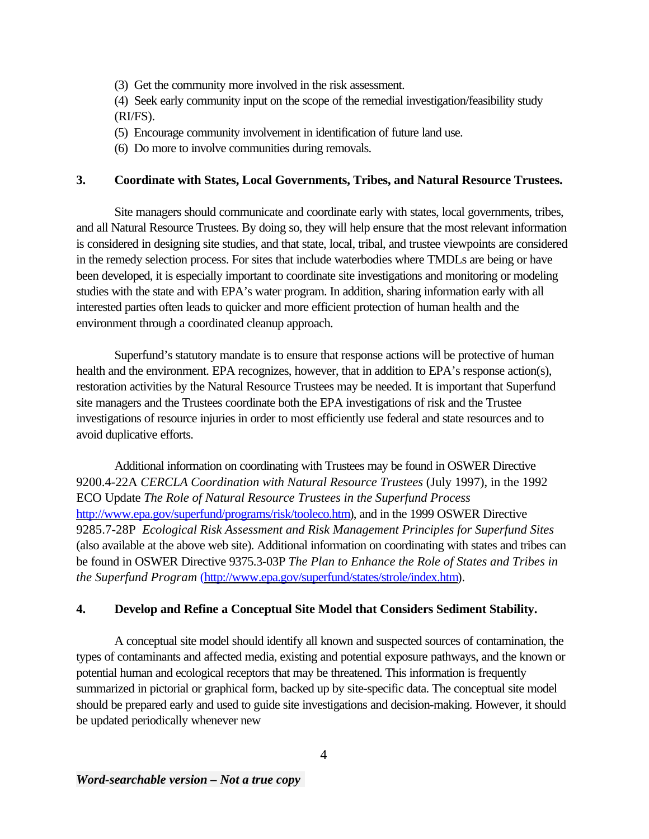(3) Get the community more involved in the risk assessment.

(4) Seek early community input on the scope of the remedial investigation/feasibility study (RI/FS).

- (5) Encourage community involvement in identification of future land use.
- (6) Do more to involve communities during removals.

# **3. Coordinate with States, Local Governments, Tribes, and Natural Resource Trustees.**

Site managers should communicate and coordinate early with states, local governments, tribes, and all Natural Resource Trustees. By doing so, they will help ensure that the most relevant information is considered in designing site studies, and that state, local, tribal, and trustee viewpoints are considered in the remedy selection process. For sites that include waterbodies where TMDLs are being or have been developed, it is especially important to coordinate site investigations and monitoring or modeling studies with the state and with EPA's water program. In addition, sharing information early with all interested parties often leads to quicker and more efficient protection of human health and the environment through a coordinated cleanup approach.

Superfund's statutory mandate is to ensure that response actions will be protective of human health and the environment. EPA recognizes, however, that in addition to EPA's response action(s), restoration activities by the Natural Resource Trustees may be needed. It is important that Superfund site managers and the Trustees coordinate both the EPA investigations of risk and the Trustee investigations of resource injuries in order to most efficiently use federal and state resources and to avoid duplicative efforts.

Additional information on coordinating with Trustees may be found in OSWER Directive 9200.4-22A *CERCLA Coordination with Natural Resource Trustees* (July 1997), in the 1992 ECO Update *The Role of Natural Resource Trustees in the Superfund Process*  [http://www.epa.gov/superfund/programs/risk/tooleco.htm\)](http://www.epa.gov/superfund/programs/risk/tooleco.htm), and in the 1999 OSWER Directive 9285.7-28P *Ecological Risk Assessment and Risk Management Principles for Superfund Sites*  (also available at the above web site). Additional information on coordinating with states and tribes can be found in OSWER Directive 9375.3-03P *The Plan to Enhance the Role of States and Tribes in the Superfund Program* [\(http://www.epa.gov/superfund/states/strole/index.htm\).](http://www.epa.gov/superfund/states/strole/)

# **4. Develop and Refine a Conceptual Site Model that Considers Sediment Stability.**

A conceptual site model should identify all known and suspected sources of contamination, the types of contaminants and affected media, existing and potential exposure pathways, and the known or potential human and ecological receptors that may be threatened. This information is frequently summarized in pictorial or graphical form, backed up by site-specific data. The conceptual site model should be prepared early and used to guide site investigations and decision-making. However, it should be updated periodically whenever new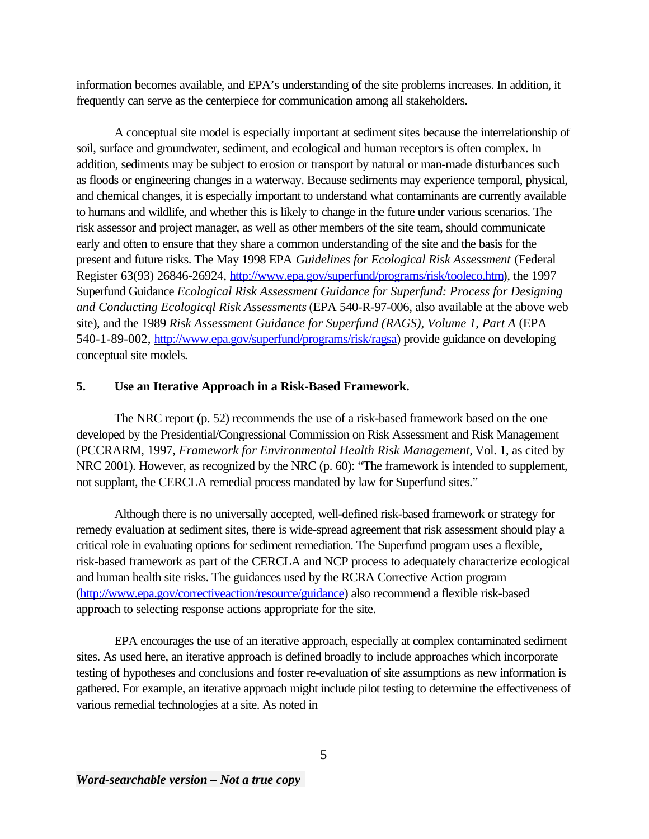information becomes available, and EPA's understanding of the site problems increases. In addition, it frequently can serve as the centerpiece for communication among all stakeholders.

A conceptual site model is especially important at sediment sites because the interrelationship of soil, surface and groundwater, sediment, and ecological and human receptors is often complex. In addition, sediments may be subject to erosion or transport by natural or man-made disturbances such as floods or engineering changes in a waterway. Because sediments may experience temporal, physical, and chemical changes, it is especially important to understand what contaminants are currently available to humans and wildlife, and whether this is likely to change in the future under various scenarios. The risk assessor and project manager, as well as other members of the site team, should communicate early and often to ensure that they share a common understanding of the site and the basis for the present and future risks. The May 1998 EPA *Guidelines for Ecological Risk Assessment* (Federal Register 63(93) 26846-26924, [http://www.epa.gov/superfund/programs/risk/tooleco.htm\)](http://www.epa.gov/superfund/programs/risk/tooleco.htm), the 1997 Superfund Guidance *Ecological Risk Assessment Guidance for Superfund: Process for Designing and Conducting Ecologicql Risk Assessments* (EPA 540-R-97-006, also available at the above web site), and the 1989 *Risk Assessment Guidance for Superfund (RAGS)*, *Volume 1, Part A (EPA* 540-1-89-002, [http://www.epa.gov/superfund/programs/risk/ragsa\)](http://www.epa.gov/superfund/programs/risk/ragsa/) provide guidance on developing conceptual site models.

## **5. Use an Iterative Approach in a Risk-Based Framework.**

The NRC report (p. 52) recommends the use of a risk-based framework based on the one developed by the Presidential/Congressional Commission on Risk Assessment and Risk Management (PCCRARM, 1997, *Framework for Environmental Health Risk Management,* Vol. 1, as cited by NRC 2001). However, as recognized by the NRC (p. 60): "The framework is intended to supplement, not supplant, the CERCLA remedial process mandated by law for Superfund sites."

Although there is no universally accepted, well-defined risk-based framework or strategy for remedy evaluation at sediment sites, there is wide-spread agreement that risk assessment should play a critical role in evaluating options for sediment remediation. The Superfund program uses a flexible, risk-based framework as part of the CERCLA and NCP process to adequately characterize ecological and human health site risks. The guidances used by the RCRA Corrective Action program [\(http://www.epa.gov/correctiveaction/resource/guidance\)](http://www.epa.gov/correctiveaction/resource/guidance/) also recommend a flexible risk-based approach to selecting response actions appropriate for the site.

EPA encourages the use of an iterative approach, especially at complex contaminated sediment sites. As used here, an iterative approach is defined broadly to include approaches which incorporate testing of hypotheses and conclusions and foster re-evaluation of site assumptions as new information is gathered. For example, an iterative approach might include pilot testing to determine the effectiveness of various remedial technologies at a site. As noted in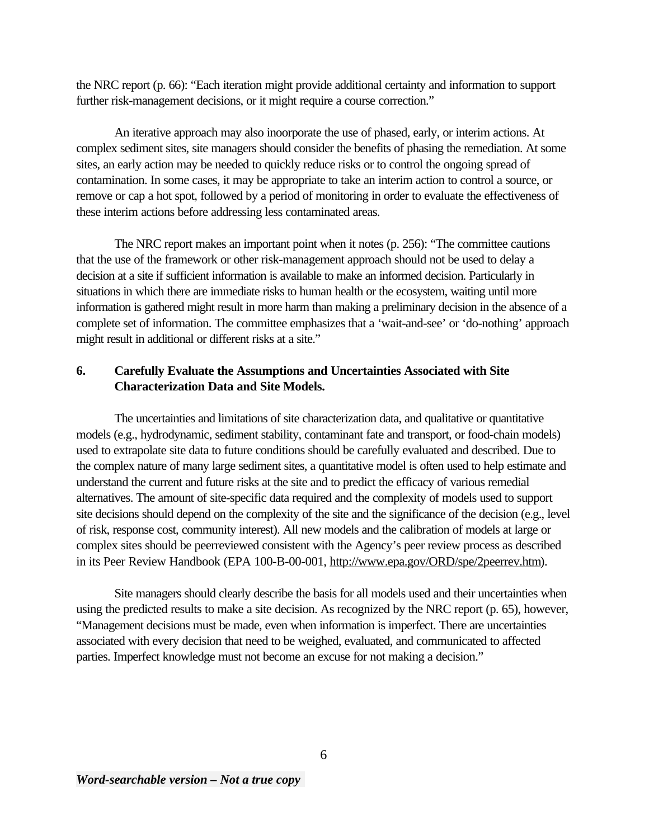the NRC report (p. 66): "Each iteration might provide additional certainty and information to support further risk-management decisions, or it might require a course correction."

An iterative approach may also inoorporate the use of phased, early, or interim actions. At complex sediment sites, site managers should consider the benefits of phasing the remediation. At some sites, an early action may be needed to quickly reduce risks or to control the ongoing spread of contamination. In some cases, it may be appropriate to take an interim action to control a source, or remove or cap a hot spot, followed by a period of monitoring in order to evaluate the effectiveness of these interim actions before addressing less contaminated areas.

The NRC report makes an important point when it notes (p. 256): "The committee cautions that the use of the framework or other risk-management approach should not be used to delay a decision at a site if sufficient information is available to make an informed decision. Particularly in situations in which there are immediate risks to human health or the ecosystem, waiting until more information is gathered might result in more harm than making a preliminary decision in the absence of a complete set of information. The committee emphasizes that a 'wait-and-see' or 'do-nothing' approach might result in additional or different risks at a site."

# **6. Carefully Evaluate the Assumptions and Uncertainties Associated with Site Characterization Data and Site Models.**

The uncertainties and limitations of site characterization data, and qualitative or quantitative models (e.g., hydrodynamic, sediment stability, contaminant fate and transport, or food-chain models) used to extrapolate site data to future conditions should be carefully evaluated and described. Due to the complex nature of many large sediment sites, a quantitative model is often used to help estimate and understand the current and future risks at the site and to predict the efficacy of various remedial alternatives. The amount of site-specific data required and the complexity of models used to support site decisions should depend on the complexity of the site and the significance of the decision (e.g., level of risk, response cost, community interest). All new models and the calibration of models at large or complex sites should be peerreviewed consistent with the Agency's peer review process as described in its Peer Review Handbook (EPA 100-B-00-001, http://www.epa.gov/ORD/spe/2peerrev.htm).

Site managers should clearly describe the basis for all models used and their uncertainties when using the predicted results to make a site decision. As recognized by the NRC report (p. 65), however, "Management decisions must be made, even when information is imperfect. There are uncertainties associated with every decision that need to be weighed, evaluated, and communicated to affected parties. Imperfect knowledge must not become an excuse for not making a decision."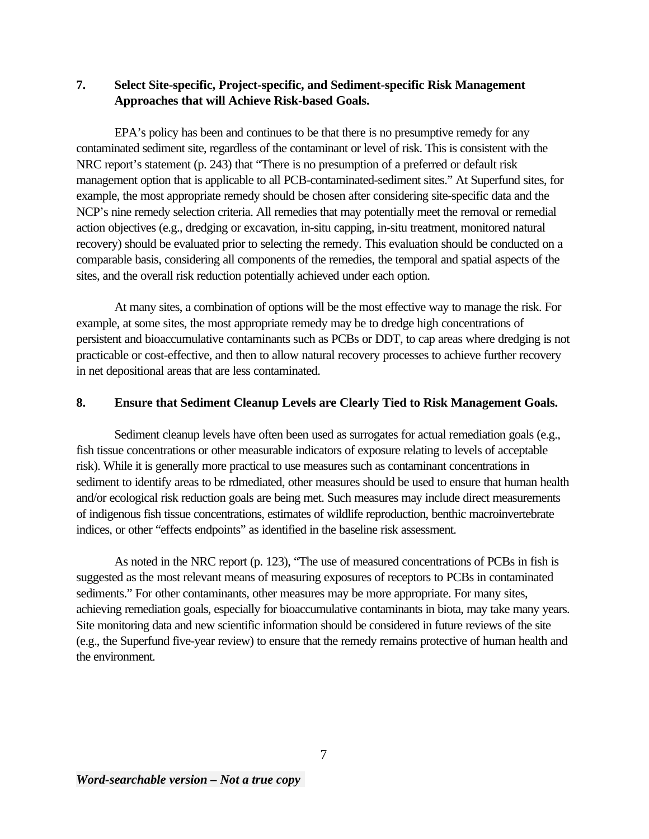# **7. Select Site-specific, Project-specific, and Sediment-specific Risk Management Approaches that will Achieve Risk-based Goals.**

EPA's policy has been and continues to be that there is no presumptive remedy for any contaminated sediment site, regardless of the contaminant or level of risk. This is consistent with the NRC report's statement (p. 243) that "There is no presumption of a preferred or default risk management option that is applicable to all PCB-contaminated-sediment sites." At Superfund sites, for example, the most appropriate remedy should be chosen after considering site-specific data and the NCP's nine remedy selection criteria. All remedies that may potentially meet the removal or remedial action objectives (e.g., dredging or excavation, in-situ capping, in-situ treatment, monitored natural recovery) should be evaluated prior to selecting the remedy. This evaluation should be conducted on a comparable basis, considering all components of the remedies, the temporal and spatial aspects of the sites, and the overall risk reduction potentially achieved under each option.

At many sites, a combination of options will be the most effective way to manage the risk. For example, at some sites, the most appropriate remedy may be to dredge high concentrations of persistent and bioaccumulative contaminants such as PCBs or DDT, to cap areas where dredging is not practicable or cost-effective, and then to allow natural recovery processes to achieve further recovery in net depositional areas that are less contaminated.

# **8. Ensure that Sediment Cleanup Levels are Clearly Tied to Risk Management Goals.**

Sediment cleanup levels have often been used as surrogates for actual remediation goals (e.g., fish tissue concentrations or other measurable indicators of exposure relating to levels of acceptable risk). While it is generally more practical to use measures such as contaminant concentrations in sediment to identify areas to be rdmediated, other measures should be used to ensure that human health and/or ecological risk reduction goals are being met. Such measures may include direct measurements of indigenous fish tissue concentrations, estimates of wildlife reproduction, benthic macroinvertebrate indices, or other "effects endpoints" as identified in the baseline risk assessment.

As noted in the NRC report (p. 123), "The use of measured concentrations of PCBs in fish is suggested as the most relevant means of measuring exposures of receptors to PCBs in contaminated sediments." For other contaminants, other measures may be more appropriate. For many sites, achieving remediation goals, especially for bioaccumulative contaminants in biota, may take many years. Site monitoring data and new scientific information should be considered in future reviews of the site (e.g., the Superfund five-year review) to ensure that the remedy remains protective of human health and the environment.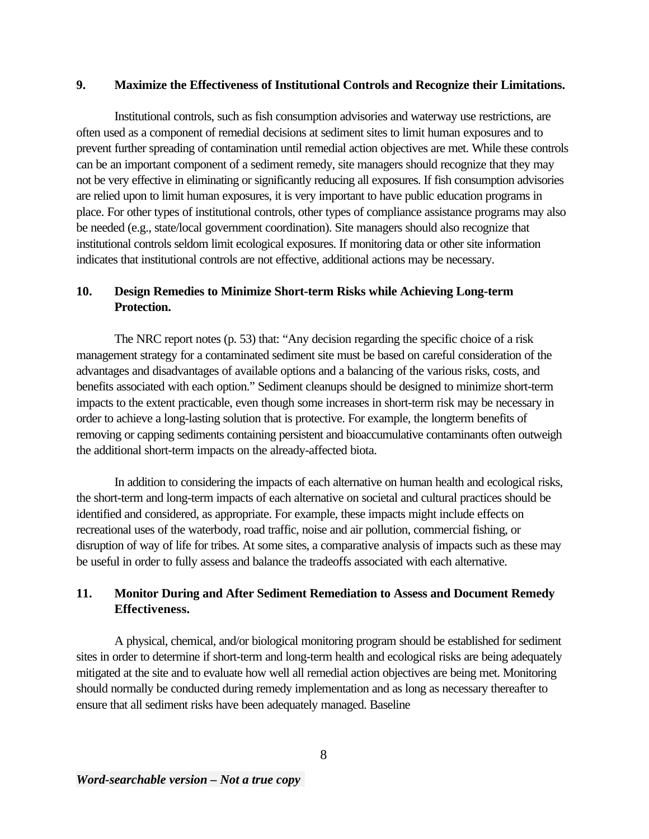### **9. Maximize the Effectiveness of Institutional Controls and Recognize their Limitations.**

Institutional controls, such as fish consumption advisories and waterway use restrictions, are often used as a component of remedial decisions at sediment sites to limit human exposures and to prevent further spreading of contamination until remedial action objectives are met. While these controls can be an important component of a sediment remedy, site managers should recognize that they may not be very effective in eliminating or significantly reducing all exposures. If fish consumption advisories are relied upon to limit human exposures, it is very important to have public education programs in place. For other types of institutional controls, other types of compliance assistance programs may also be needed (e.g., state/local government coordination). Site managers should also recognize that institutional controls seldom limit ecological exposures. If monitoring data or other site information indicates that institutional controls are not effective, additional actions may be necessary.

# **10. Design Remedies to Minimize Short-term Risks while Achieving Long-term Protection.**

The NRC report notes (p. 53) that: "Any decision regarding the specific choice of a risk management strategy for a contaminated sediment site must be based on careful consideration of the advantages and disadvantages of available options and a balancing of the various risks, costs, and benefits associated with each option." Sediment cleanups should be designed to minimize short-term impacts to the extent practicable, even though some increases in short-term risk may be necessary in order to achieve a long-lasting solution that is protective. For example, the longterm benefits of removing or capping sediments containing persistent and bioaccumulative contaminants often outweigh the additional short-term impacts on the already-affected biota.

In addition to considering the impacts of each alternative on human health and ecological risks, the short-term and long-term impacts of each alternative on societal and cultural practices should be identified and considered, as appropriate. For example, these impacts might include effects on recreational uses of the waterbody, road traffic, noise and air pollution, commercial fishing, or disruption of way of life for tribes. At some sites, a comparative analysis of impacts such as these may be useful in order to fully assess and balance the tradeoffs associated with each alternative.

# **11. Monitor During and After Sediment Remediation to Assess and Document Remedy Effectiveness.**

A physical, chemical, and/or biological monitoring program should be established for sediment sites in order to determine if short-term and long-term health and ecological risks are being adequately mitigated at the site and to evaluate how well all remedial action objectives are being met. Monitoring should normally be conducted during remedy implementation and as long as necessary thereafter to ensure that all sediment risks have been adequately managed. Baseline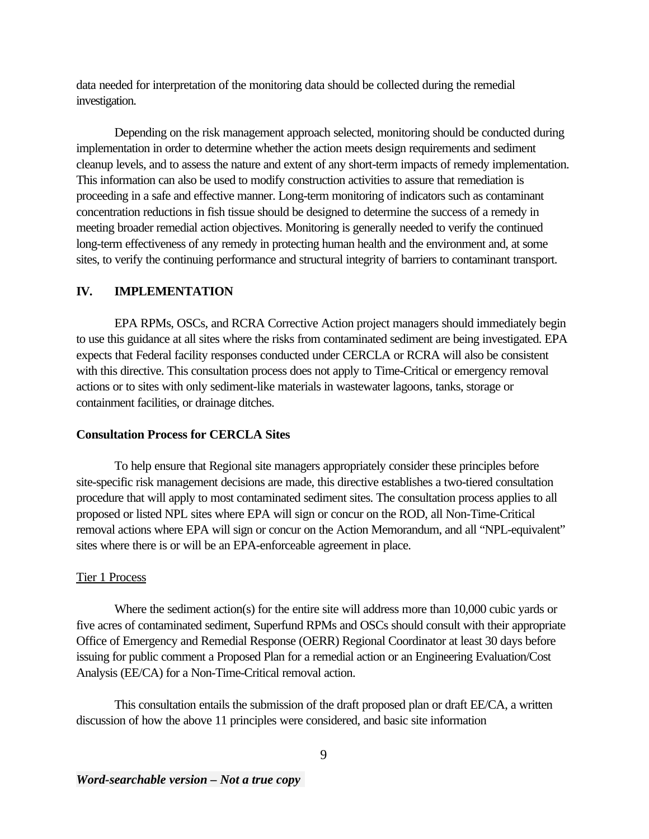data needed for interpretation of the monitoring data should be collected during the remedial investigation.

Depending on the risk management approach selected, monitoring should be conducted during implementation in order to determine whether the action meets design requirements and sediment cleanup levels, and to assess the nature and extent of any short-term impacts of remedy implementation. This information can also be used to modify construction activities to assure that remediation is proceeding in a safe and effective manner. Long-term monitoring of indicators such as contaminant concentration reductions in fish tissue should be designed to determine the success of a remedy in meeting broader remedial action objectives. Monitoring is generally needed to verify the continued long-term effectiveness of any remedy in protecting human health and the environment and, at some sites, to verify the continuing performance and structural integrity of barriers to contaminant transport.

## **IV. IMPLEMENTATION**

EPA RPMs, OSCs, and RCRA Corrective Action project managers should immediately begin to use this guidance at all sites where the risks from contaminated sediment are being investigated. EPA expects that Federal facility responses conducted under CERCLA or RCRA will also be consistent with this directive. This consultation process does not apply to Time-Critical or emergency removal actions or to sites with only sediment-like materials in wastewater lagoons, tanks, storage or containment facilities, or drainage ditches.

#### **Consultation Process for CERCLA Sites**

To help ensure that Regional site managers appropriately consider these principles before site-specific risk management decisions are made, this directive establishes a two-tiered consultation procedure that will apply to most contaminated sediment sites. The consultation process applies to all proposed or listed NPL sites where EPA will sign or concur on the ROD, all Non-Time-Critical removal actions where EPA will sign or concur on the Action Memorandum, and all "NPL-equivalent" sites where there is or will be an EPA-enforceable agreement in place.

#### Tier 1 Process

Where the sediment action(s) for the entire site will address more than 10,000 cubic yards or five acres of contaminated sediment, Superfund RPMs and OSCs should consult with their appropriate Office of Emergency and Remedial Response (OERR) Regional Coordinator at least 30 days before issuing for public comment a Proposed Plan for a remedial action or an Engineering Evaluation/Cost Analysis (EE/CA) for a Non-Time-Critical removal action.

This consultation entails the submission of the draft proposed plan or draft EE/CA, a written discussion of how the above 11 principles were considered, and basic site information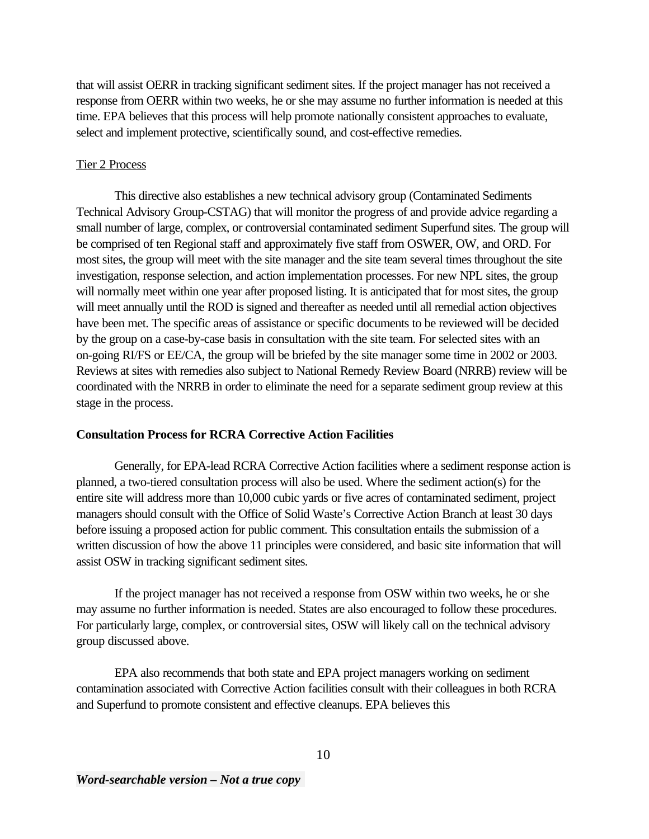that will assist OERR in tracking significant sediment sites. If the project manager has not received a response from OERR within two weeks, he or she may assume no further information is needed at this time. EPA believes that this process will help promote nationally consistent approaches to evaluate, select and implement protective, scientifically sound, and cost-effective remedies.

#### Tier 2 Process

This directive also establishes a new technical advisory group (Contaminated Sediments Technical Advisory Group-CSTAG) that will monitor the progress of and provide advice regarding a small number of large, complex, or controversial contaminated sediment Superfund sites. The group will be comprised of ten Regional staff and approximately five staff from OSWER, OW, and ORD. For most sites, the group will meet with the site manager and the site team several times throughout the site investigation, response selection, and action implementation processes. For new NPL sites, the group will normally meet within one year after proposed listing. It is anticipated that for most sites, the group will meet annually until the ROD is signed and thereafter as needed until all remedial action objectives have been met. The specific areas of assistance or specific documents to be reviewed will be decided by the group on a case-by-case basis in consultation with the site team. For selected sites with an on-going RI/FS or EE/CA, the group will be briefed by the site manager some time in 2002 or 2003. Reviews at sites with remedies also subject to National Remedy Review Board (NRRB) review will be coordinated with the NRRB in order to eliminate the need for a separate sediment group review at this stage in the process.

## **Consultation Process for RCRA Corrective Action Facilities**

Generally, for EPA-lead RCRA Corrective Action facilities where a sediment response action is planned, a two-tiered consultation process will also be used. Where the sediment action(s) for the entire site will address more than 10,000 cubic yards or five acres of contaminated sediment, project managers should consult with the Office of Solid Waste's Corrective Action Branch at least 30 days before issuing a proposed action for public comment. This consultation entails the submission of a written discussion of how the above 11 principles were considered, and basic site information that will assist OSW in tracking significant sediment sites.

If the project manager has not received a response from OSW within two weeks, he or she may assume no further information is needed. States are also encouraged to follow these procedures. For particularly large, complex, or controversial sites, OSW will likely call on the technical advisory group discussed above.

EPA also recommends that both state and EPA project managers working on sediment contamination associated with Corrective Action facilities consult with their colleagues in both RCRA and Superfund to promote consistent and effective cleanups. EPA believes this